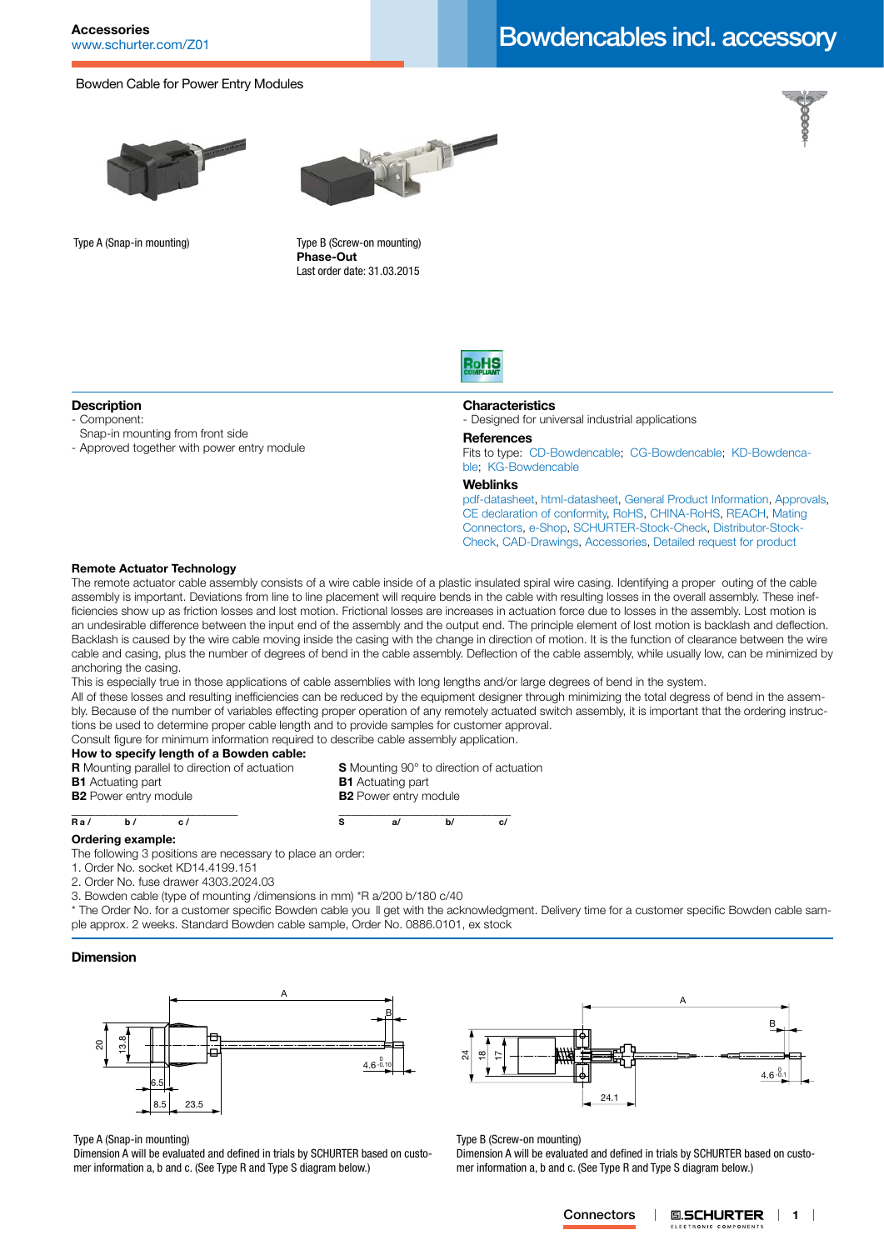# Accessories<br>WWW.schurter.com/Z01 **Bowdencables incl. accessory**

## Bowden Cable for Power Entry Modules





Type A (Snap-in mounting) Type B (Screw-on mounting) **Phase-Out** Last order date: 31.03.2015



## **Description**

- Component:
- Snap-in mounting from front side
- Approved together with power entry module



### **Characteristics**

- Designed for universal industrial applications

### **References**

Fits to type: [CD-Bowdencable;](http://www.schurter.ch/pdf/english/typ_CD-Bowdencable.pdf) [CG-Bowdencable](http://www.schurter.ch/pdf/english/typ_CG-Bowdencable.pdf); [KD-Bowdenca](http://www.schurter.ch/pdf/english/typ_KD-Bowdencable.pdf)[ble](http://www.schurter.ch/pdf/english/typ_KD-Bowdencable.pdf); [KG-Bowdencable](http://www.schurter.ch/pdf/english/typ_KG-Bowdencable.pdf)

### **Weblinks**

[pdf-datasheet](http://www.schurter.ch/pdf/english/typ_Bowdencables_incl._accessory.pdf), [html-datasheet](http://www.schurter.ch/en/datasheet/Bowdencables%20incl.%20accessory), [General Product Information,](http://www.schurter.ch/products/iec_connector_overview.asp) [Approvals](http://www.schurter.ch/en/Documents-References/Approvals/(id)/Bowdencables), [CE declaration of conformity,](http://www.schurter.com/en/Documents-References/Approvals/(id)/Bowdencables+AND+FIELD+CertificationInstitute=SAG) [RoHS](http://www.schurter.ch/company/rohs.asp), [CHINA-RoHS](http://www.schurter.ch/company/china_rohs.asp), [REACH,](http://www.schurter.ch/REACH) [Mating](http://www.schurter.ch/Components/Connectors/Mating-Connectors)  [Connectors,](http://www.schurter.ch/Components/Connectors/Mating-Connectors) [e-Shop,](http://www.schurter.ch/en/datasheet/Bowdencables%20incl.%20accessory#Anker_Variants) [SCHURTER-Stock-Check](http://www.schurter.ch/en/Stock-Check/Stock-Check-SCHURTER?MAKTX=Bowdencables&COM_QTY=1&AUTOSEARCH=true), [Distributor-Stock-](http://www.schurter.com/en/Stock-Check/Stock-Check-Distributor?partnumber1=Bowdencables)[Check](http://www.schurter.com/en/Stock-Check/Stock-Check-Distributor?partnumber1=Bowdencables), [CAD-Drawings,](http://www.schurter.com/support/iframe_cad.asp?SearchText=Bowdencables_incl._accessory&ConfirmButton&SearchFilter=Type) [Accessories,](http://www.schurter.ch/wwwsc/con_z01.asp) [Detailed request for product](http://www.schurter.com/en/Contacts/Contact-Form?type=Bowdencables_incl._accessory)

### **Remote Actuator Technology**

The remote actuator cable assembly consists of a wire cable inside of a plastic insulated spiral wire casing. Identifying a proper outing of the cable assembly is important. Deviations from line to line placement will require bends in the cable with resulting losses in the overall assembly. These inefficiencies show up as friction losses and lost motion. Frictional losses are increases in actuation force due to losses in the assembly. Lost motion is an undesirable difference between the input end of the assembly and the output end. The principle element of lost motion is backlash and deflection. Backlash is caused by the wire cable moving inside the casing with the change in direction of motion. It is the function of clearance between the wire cable and casing, plus the number of degrees of bend in the cable assembly. Deflection of the cable assembly, while usually low, can be minimized by anchoring the casing.

This is especially true in those applications of cable assemblies with long lengths and/or large degrees of bend in the system.

All of these losses and resulting inefficiencies can be reduced by the equipment designer through minimizing the total degress of bend in the assembly. Because of the number of variables effecting proper operation of any remotely actuated switch assembly, it is important that the ordering instructions be used to determine proper cable length and to provide samples for customer approval.

Consult figure for minimum information required to describe cable assembly application.

# **How to specify length of a Bowden cable:**

- **R** Mounting parallel to direction of actuation **S** Mounting 90° to direction of actuation **B1** Actuating part **B1** Actuating part
- **B2** Power entry module **B2** Power entry module

**\_\_\_\_\_\_\_\_\_\_\_\_\_\_\_\_\_\_\_\_\_\_\_\_\_\_\_**\_ **\_\_\_\_\_\_\_\_\_\_\_\_\_\_\_\_\_\_\_\_\_\_\_\_\_\_\_\_\_ <sup>R</sup> a / b / c / <sup>S</sup> a/ b/ c/**

### **Ordering example:**

The following 3 positions are necessary to place an order:

- 1. Order No. socket KD14.4199.151
- 2. Order No. fuse drawer 4303.2024.03

3. Bowden cable (type of mounting /dimensions in mm) \*R a/200 b/180 c/40

\* The Order No. for a customer specific Bowden cable you II get with the acknowledgment. Delivery time for a customer specific Bowden cable sample approx. 2 weeks. Standard Bowden cable sample, Order No. 0886.0101, ex stock

### **Dimension**



#### Type A (Snap-in mounting)

Dimension A will be evaluated and defined in trials by SCHURTER based on customer information a, b and c. (See Type R and Type S diagram below.)



Type B (Screw-on mounting)

Dimension A will be evaluated and defined in trials by SCHURTER based on customer information a, b and c. (See Type R and Type S diagram below.)